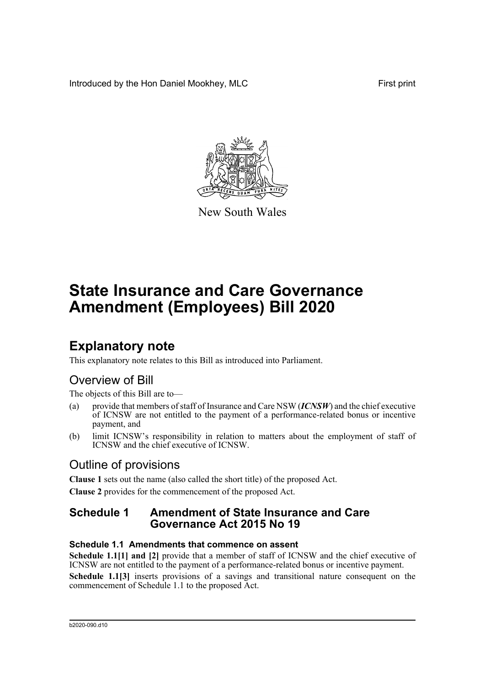Introduced by the Hon Daniel Mookhey, MLC First print



New South Wales

# **State Insurance and Care Governance Amendment (Employees) Bill 2020**

### **Explanatory note**

This explanatory note relates to this Bill as introduced into Parliament.

### Overview of Bill

The objects of this Bill are to—

- (a) provide that members of staff of Insurance and Care NSW (*ICNSW*) and the chief executive of ICNSW are not entitled to the payment of a performance-related bonus or incentive payment, and
- (b) limit ICNSW's responsibility in relation to matters about the employment of staff of ICNSW and the chief executive of ICNSW.

### Outline of provisions

**Clause 1** sets out the name (also called the short title) of the proposed Act. **Clause 2** provides for the commencement of the proposed Act.

### **Schedule 1 Amendment of State Insurance and Care Governance Act 2015 No 19**

#### **Schedule 1.1 Amendments that commence on assent**

**Schedule 1.1[1] and [2]** provide that a member of staff of ICNSW and the chief executive of ICNSW are not entitled to the payment of a performance-related bonus or incentive payment. **Schedule 1.1[3]** inserts provisions of a savings and transitional nature consequent on the commencement of Schedule 1.1 to the proposed Act.

#### b2020-090.d10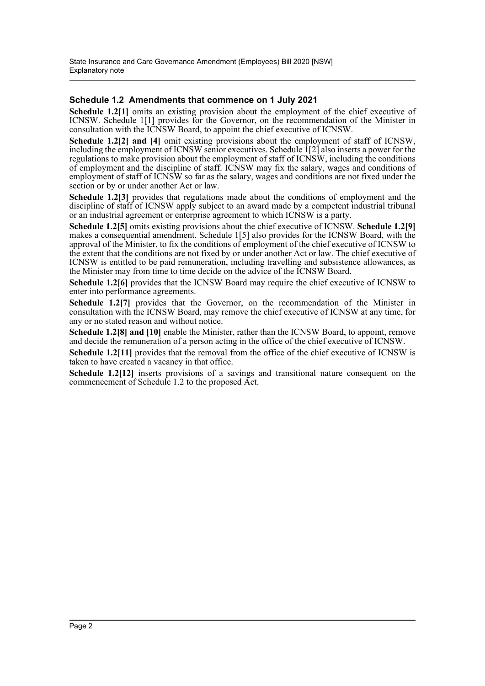#### **Schedule 1.2 Amendments that commence on 1 July 2021**

**Schedule 1.2[1]** omits an existing provision about the employment of the chief executive of ICNSW. Schedule 1[1] provides for the Governor, on the recommendation of the Minister in consultation with the ICNSW Board, to appoint the chief executive of ICNSW.

**Schedule 1.2[2] and [4]** omit existing provisions about the employment of staff of ICNSW, including the employment of ICNSW senior executives. Schedule 1[2] also inserts a power for the regulations to make provision about the employment of staff of ICNSW, including the conditions of employment and the discipline of staff. ICNSW may fix the salary, wages and conditions of employment of staff of ICNSW so far as the salary, wages and conditions are not fixed under the section or by or under another Act or law.

**Schedule 1.2[3]** provides that regulations made about the conditions of employment and the discipline of staff of ICNSW apply subject to an award made by a competent industrial tribunal or an industrial agreement or enterprise agreement to which ICNSW is a party.

**Schedule 1.2[5]** omits existing provisions about the chief executive of ICNSW. **Schedule 1.2[9]** makes a consequential amendment. Schedule 1[5] also provides for the ICNSW Board, with the approval of the Minister, to fix the conditions of employment of the chief executive of ICNSW to the extent that the conditions are not fixed by or under another Act or law. The chief executive of ICNSW is entitled to be paid remuneration, including travelling and subsistence allowances, as the Minister may from time to time decide on the advice of the ICNSW Board.

**Schedule 1.2[6]** provides that the ICNSW Board may require the chief executive of ICNSW to enter into performance agreements.

**Schedule 1.2[7]** provides that the Governor, on the recommendation of the Minister in consultation with the ICNSW Board, may remove the chief executive of ICNSW at any time, for any or no stated reason and without notice.

**Schedule 1.2[8] and [10]** enable the Minister, rather than the ICNSW Board, to appoint, remove and decide the remuneration of a person acting in the office of the chief executive of ICNSW.

**Schedule 1.2[11]** provides that the removal from the office of the chief executive of ICNSW is taken to have created a vacancy in that office.

**Schedule 1.2[12]** inserts provisions of a savings and transitional nature consequent on the commencement of Schedule 1.2 to the proposed Act.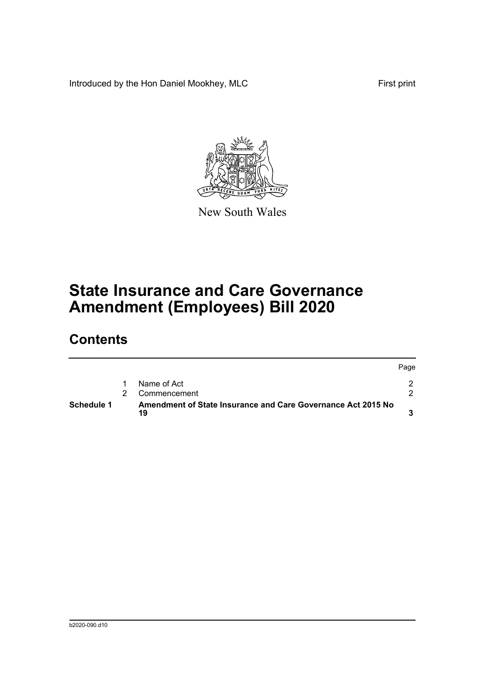Introduced by the Hon Daniel Mookhey, MLC First print



New South Wales

# **State Insurance and Care Governance Amendment (Employees) Bill 2020**

### **Contents**

| Schedule 1 |  | Amendment of State Insurance and Care Governance Act 2015 No<br>19 |      |
|------------|--|--------------------------------------------------------------------|------|
|            |  | Commencement                                                       |      |
|            |  | Name of Act                                                        |      |
|            |  |                                                                    | Page |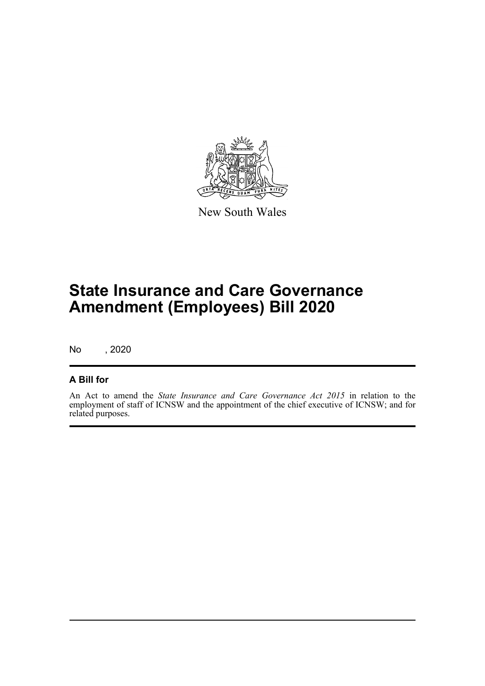

New South Wales

# **State Insurance and Care Governance Amendment (Employees) Bill 2020**

No , 2020

#### **A Bill for**

An Act to amend the *State Insurance and Care Governance Act 2015* in relation to the employment of staff of ICNSW and the appointment of the chief executive of ICNSW; and for related purposes.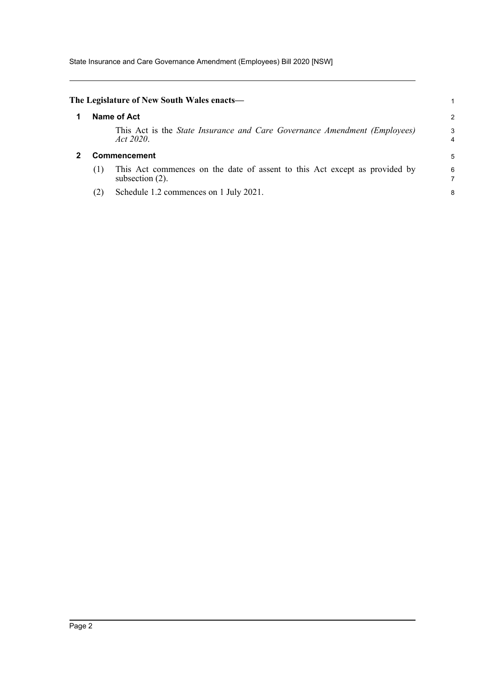State Insurance and Care Governance Amendment (Employees) Bill 2020 [NSW]

<span id="page-4-1"></span><span id="page-4-0"></span>

|                     | The Legislature of New South Wales enacts—                                                       |        |
|---------------------|--------------------------------------------------------------------------------------------------|--------|
|                     | Name of Act                                                                                      | 2      |
|                     | This Act is the <i>State Insurance and Care Governance Amendment (Employees)</i><br>Act 2020.    | 3<br>4 |
| <b>Commencement</b> |                                                                                                  |        |
| (1)                 | This Act commences on the date of assent to this Act except as provided by<br>subsection $(2)$ . | 6      |
| (2)                 | Schedule 1.2 commences on 1 July 2021.                                                           | 8      |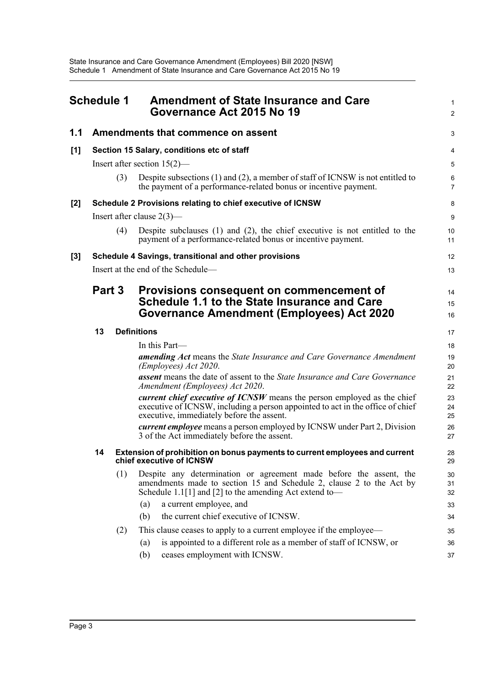<span id="page-5-0"></span>

| <b>Schedule 1</b> |        |     | <b>Amendment of State Insurance and Care</b><br>Governance Act 2015 No 19                                                                                                                                                       | 1<br>$\overline{a}$ |
|-------------------|--------|-----|---------------------------------------------------------------------------------------------------------------------------------------------------------------------------------------------------------------------------------|---------------------|
| 1.1               |        |     | Amendments that commence on assent                                                                                                                                                                                              | 3                   |
| [1]               |        |     | Section 15 Salary, conditions etc of staff                                                                                                                                                                                      | 4                   |
|                   |        |     | Insert after section $15(2)$ —                                                                                                                                                                                                  | 5                   |
|                   |        | (3) | Despite subsections $(1)$ and $(2)$ , a member of staff of ICNSW is not entitled to<br>the payment of a performance-related bonus or incentive payment.                                                                         | 6<br>$\overline{7}$ |
| $[2]$             |        |     | Schedule 2 Provisions relating to chief executive of ICNSW                                                                                                                                                                      | 8                   |
|                   |        |     | Insert after clause $2(3)$ —                                                                                                                                                                                                    | 9                   |
|                   |        | (4) | Despite subclauses $(1)$ and $(2)$ , the chief executive is not entitled to the<br>payment of a performance-related bonus or incentive payment.                                                                                 | 10<br>11            |
| [3]               |        |     | Schedule 4 Savings, transitional and other provisions                                                                                                                                                                           | 12                  |
|                   |        |     | Insert at the end of the Schedule-                                                                                                                                                                                              | 13                  |
|                   | Part 3 |     | Provisions consequent on commencement of<br>Schedule 1.1 to the State Insurance and Care<br><b>Governance Amendment (Employees) Act 2020</b>                                                                                    | 14<br>15<br>16      |
|                   | 13     |     | <b>Definitions</b>                                                                                                                                                                                                              | 17                  |
|                   |        |     | In this Part—                                                                                                                                                                                                                   | 18                  |
|                   |        |     | <b>amending Act</b> means the State Insurance and Care Governance Amendment<br>(Employees) Act 2020.                                                                                                                            | 19<br>20            |
|                   |        |     | <b>assent</b> means the date of assent to the <i>State Insurance and Care Governance</i><br>Amendment (Employees) Act 2020.                                                                                                     | 21<br>22            |
|                   |        |     | <i>current chief executive of ICNSW</i> means the person employed as the chief<br>executive of ICNSW, including a person appointed to act in the office of chief<br>executive, immediately before the assent.                   | 23<br>24<br>25      |
|                   |        |     | <i>current employee</i> means a person employed by ICNSW under Part 2, Division<br>3 of the Act immediately before the assent.                                                                                                  | 26<br>27            |
|                   | 14     |     | Extension of prohibition on bonus payments to current employees and current<br>chief executive of ICNSW                                                                                                                         | 28<br>29            |
|                   |        | (1) | Despite any determination or agreement made before the assent, the<br>amendments made to section 15 and Schedule 2, clause 2 to the Act by<br>Schedule 1.1[1] and [2] to the amending Act extend to-<br>a current employee, and | 30<br>31<br>32      |
|                   |        |     | (a)<br>the current chief executive of ICNSW.<br>(b)                                                                                                                                                                             | 33<br>34            |
|                   |        |     | This clause ceases to apply to a current employee if the employee—                                                                                                                                                              |                     |
|                   |        | (2) | is appointed to a different role as a member of staff of ICNSW, or<br>(a)                                                                                                                                                       | 35<br>36            |
|                   |        |     | ceases employment with ICNSW.<br>(b)                                                                                                                                                                                            | 37                  |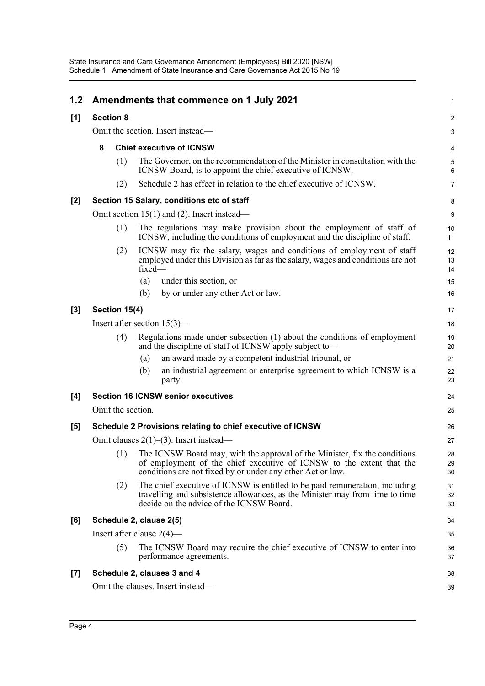| 1.2   |                                                            |                   |        | Amendments that commence on 1 July 2021                                                                                                                                                                          | 1              |  |
|-------|------------------------------------------------------------|-------------------|--------|------------------------------------------------------------------------------------------------------------------------------------------------------------------------------------------------------------------|----------------|--|
| [1]   | <b>Section 8</b>                                           |                   |        |                                                                                                                                                                                                                  | 2              |  |
|       | Omit the section. Insert instead—                          |                   |        |                                                                                                                                                                                                                  |                |  |
|       | 8                                                          |                   |        | <b>Chief executive of ICNSW</b>                                                                                                                                                                                  |                |  |
|       |                                                            | (1)               |        | The Governor, on the recommendation of the Minister in consultation with the<br>ICNSW Board, is to appoint the chief executive of ICNSW.                                                                         | 5<br>6         |  |
|       |                                                            | (2)               |        | Schedule 2 has effect in relation to the chief executive of ICNSW.                                                                                                                                               | $\overline{7}$ |  |
| $[2]$ |                                                            |                   |        | Section 15 Salary, conditions etc of staff                                                                                                                                                                       | 8              |  |
|       | Omit section $15(1)$ and (2). Insert instead—              |                   |        |                                                                                                                                                                                                                  |                |  |
|       | (1)                                                        |                   |        | The regulations may make provision about the employment of staff of<br>ICNSW, including the conditions of employment and the discipline of staff.                                                                | 10<br>11       |  |
|       |                                                            | (2)               | fixed- | ICNSW may fix the salary, wages and conditions of employment of staff<br>employed under this Division as far as the salary, wages and conditions are not                                                         | 12<br>13<br>14 |  |
|       |                                                            |                   | (a)    | under this section, or                                                                                                                                                                                           | 15             |  |
|       |                                                            |                   | (b)    | by or under any other Act or law.                                                                                                                                                                                | 16             |  |
| $[3]$ |                                                            | Section 15(4)     |        |                                                                                                                                                                                                                  |                |  |
|       | Insert after section $15(3)$ —                             |                   |        |                                                                                                                                                                                                                  |                |  |
|       |                                                            | (4)               |        | Regulations made under subsection (1) about the conditions of employment<br>and the discipline of staff of ICNSW apply subject to—                                                                               | 19<br>20       |  |
|       |                                                            |                   | (a)    | an award made by a competent industrial tribunal, or                                                                                                                                                             | 21             |  |
|       |                                                            |                   | (b)    | an industrial agreement or enterprise agreement to which ICNSW is a<br>party.                                                                                                                                    | 22<br>23       |  |
| [4]   |                                                            |                   |        | <b>Section 16 ICNSW senior executives</b>                                                                                                                                                                        | 24             |  |
|       |                                                            | Omit the section. |        |                                                                                                                                                                                                                  | 25             |  |
| [5]   | Schedule 2 Provisions relating to chief executive of ICNSW |                   |        |                                                                                                                                                                                                                  |                |  |
|       | Omit clauses $2(1)$ –(3). Insert instead—                  |                   |        |                                                                                                                                                                                                                  |                |  |
|       |                                                            | (1)               |        | The ICNSW Board may, with the approval of the Minister, fix the conditions<br>of employment of the chief executive of ICNSW to the extent that the<br>conditions are not fixed by or under any other Act or law. | 28<br>29<br>30 |  |
|       |                                                            | (2)               |        | The chief executive of ICNSW is entitled to be paid remuneration, including<br>travelling and subsistence allowances, as the Minister may from time to time<br>decide on the advice of the ICNSW Board.          | 31<br>32<br>33 |  |
| [6]   |                                                            |                   |        | Schedule 2, clause 2(5)                                                                                                                                                                                          | 34             |  |
|       |                                                            |                   |        | Insert after clause $2(4)$ —                                                                                                                                                                                     | 35             |  |
|       |                                                            | (5)               |        | The ICNSW Board may require the chief executive of ICNSW to enter into<br>performance agreements.                                                                                                                | 36<br>37       |  |
| $[7]$ |                                                            |                   |        | Schedule 2, clauses 3 and 4                                                                                                                                                                                      | 38             |  |
|       |                                                            |                   |        | Omit the clauses. Insert instead-                                                                                                                                                                                | 39             |  |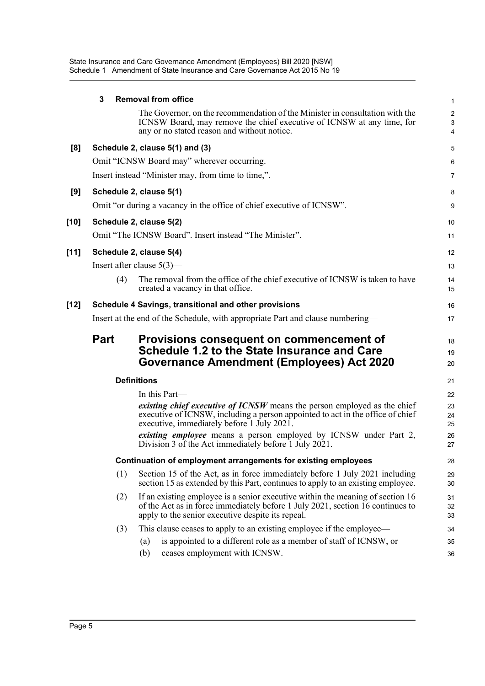State Insurance and Care Governance Amendment (Employees) Bill 2020 [NSW] Schedule 1 Amendment of State Insurance and Care Governance Act 2015 No 19

|        | 3                                                              | <b>Removal from office</b>                                                                                                                                                                                            | 1                                 |  |  |
|--------|----------------------------------------------------------------|-----------------------------------------------------------------------------------------------------------------------------------------------------------------------------------------------------------------------|-----------------------------------|--|--|
|        |                                                                | The Governor, on the recommendation of the Minister in consultation with the<br>ICNSW Board, may remove the chief executive of ICNSW at any time, for<br>any or no stated reason and without notice.                  | $\overline{\mathbf{c}}$<br>3<br>4 |  |  |
| [8]    |                                                                | Schedule 2, clause 5(1) and (3)                                                                                                                                                                                       | 5                                 |  |  |
|        |                                                                | Omit "ICNSW Board may" wherever occurring.                                                                                                                                                                            | 6                                 |  |  |
|        |                                                                | Insert instead "Minister may, from time to time,".                                                                                                                                                                    | 7                                 |  |  |
| [9]    |                                                                | Schedule 2, clause 5(1)                                                                                                                                                                                               | 8                                 |  |  |
|        |                                                                | Omit "or during a vacancy in the office of chief executive of ICNSW".                                                                                                                                                 | 9                                 |  |  |
| [10]   |                                                                | Schedule 2, clause 5(2)                                                                                                                                                                                               | 10                                |  |  |
|        |                                                                | Omit "The ICNSW Board". Insert instead "The Minister".                                                                                                                                                                | 11                                |  |  |
| $[11]$ |                                                                | Schedule 2, clause 5(4)                                                                                                                                                                                               | 12                                |  |  |
|        |                                                                | Insert after clause $5(3)$ —                                                                                                                                                                                          | 13                                |  |  |
|        | (4)                                                            | The removal from the office of the chief executive of ICNSW is taken to have<br>created a vacancy in that office.                                                                                                     | 14<br>15                          |  |  |
| [12]   |                                                                | Schedule 4 Savings, transitional and other provisions                                                                                                                                                                 | 16                                |  |  |
|        |                                                                | Insert at the end of the Schedule, with appropriate Part and clause numbering—                                                                                                                                        | 17                                |  |  |
|        | <b>Part</b>                                                    | <b>Provisions consequent on commencement of</b><br>Schedule 1.2 to the State Insurance and Care<br>Governance Amendment (Employees) Act 2020                                                                          | 18<br>19<br>20                    |  |  |
|        | <b>Definitions</b>                                             |                                                                                                                                                                                                                       |                                   |  |  |
|        |                                                                | In this Part-                                                                                                                                                                                                         | 22                                |  |  |
|        |                                                                | existing chief executive of ICNSW means the person employed as the chief<br>executive of ICNSW, including a person appointed to act in the office of chief<br>executive, immediately before 1 July 2021.              | 23<br>24<br>25                    |  |  |
|        |                                                                | existing employee means a person employed by ICNSW under Part 2,<br>Division 3 of the Act immediately before 1 July 2021.                                                                                             | 26<br>27                          |  |  |
|        | Continuation of employment arrangements for existing employees |                                                                                                                                                                                                                       |                                   |  |  |
|        | (1)                                                            | Section 15 of the Act, as in force immediately before 1 July 2021 including<br>section 15 as extended by this Part, continues to apply to an existing employee.                                                       | 29<br>30                          |  |  |
|        | (2)                                                            | If an existing employee is a senior executive within the meaning of section 16<br>of the Act as in force immediately before 1 July 2021, section 16 continues to<br>apply to the senior executive despite its repeal. | 31<br>32<br>33                    |  |  |
|        | (3)                                                            | This clause ceases to apply to an existing employee if the employee—                                                                                                                                                  | 34                                |  |  |
|        |                                                                | is appointed to a different role as a member of staff of ICNSW, or<br>(a)                                                                                                                                             | 35                                |  |  |
|        |                                                                | (b)<br>ceases employment with ICNSW.                                                                                                                                                                                  | 36                                |  |  |